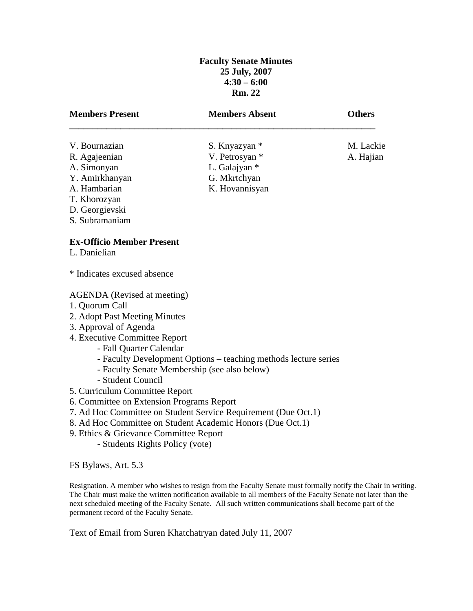# **Faculty Senate Minutes 25 July, 2007 4:30 – 6:00 Rm. 22**

| <b>Members Present</b>                           | <b>Members Absent</b>                                           | <b>Others</b> |
|--------------------------------------------------|-----------------------------------------------------------------|---------------|
| V. Bournazian                                    | S. Knyazyan *                                                   | M. Lackie     |
| R. Agajeenian                                    | V. Petrosyan *                                                  | A. Hajian     |
| A. Simonyan                                      | L. Galajyan *                                                   |               |
| Y. Amirkhanyan                                   | G. Mkrtchyan                                                    |               |
| A. Hambarian                                     | K. Hovannisyan                                                  |               |
| T. Khorozyan                                     |                                                                 |               |
| D. Georgievski                                   |                                                                 |               |
| S. Subramaniam                                   |                                                                 |               |
| <b>Ex-Officio Member Present</b><br>L. Danielian |                                                                 |               |
| * Indicates excused absence                      |                                                                 |               |
| <b>AGENDA</b> (Revised at meeting)               |                                                                 |               |
| 1. Quorum Call                                   |                                                                 |               |
| 2. Adopt Past Meeting Minutes                    |                                                                 |               |
| 3. Approval of Agenda                            |                                                                 |               |
| 4. Executive Committee Report                    |                                                                 |               |
| - Fall Quarter Calendar                          |                                                                 |               |
|                                                  | - Faculty Development Options – teaching methods lecture series |               |
| - Faculty Senate Membership (see also below)     |                                                                 |               |
| - Student Council                                |                                                                 |               |
| 5. Curriculum Committee Report                   |                                                                 |               |
| 6. Committee on Extension Programs Report        |                                                                 |               |
|                                                  | 7. Ad Hoc Committee on Student Service Requirement (Due Oct.1)  |               |

- 8. Ad Hoc Committee on Student Academic Honors (Due Oct.1)
- 9. Ethics & Grievance Committee Report
	- Students Rights Policy (vote)

FS Bylaws, Art. 5.3

Resignation. A member who wishes to resign from the Faculty Senate must formally notify the Chair in writing. The Chair must make the written notification available to all members of the Faculty Senate not later than the next scheduled meeting of the Faculty Senate. All such written communications shall become part of the permanent record of the Faculty Senate.

Text of Email from Suren Khatchatryan dated July 11, 2007